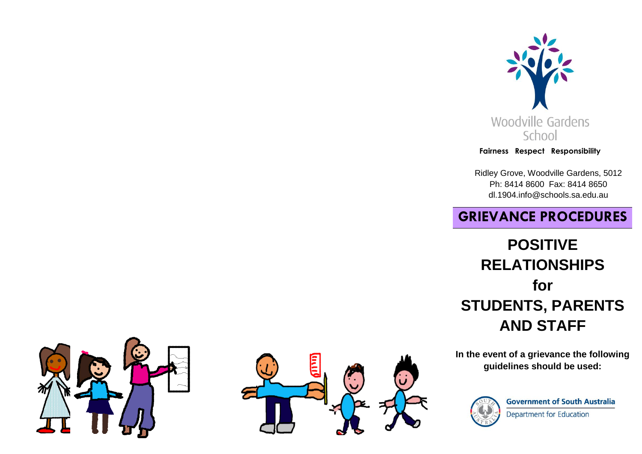

#### **Fairness Respect Responsibility**

Ridley Grove, Woodville Gardens, 5012 Ph: 8414 8600 Fax: 8414 8650 dl.1904.info@schools.sa.edu.au

# **GRIEVANCE PROCEDURES**

# **POSITIVE RELATIONSHIPS for STUDENTS, PARENTS AND STAFF**

**In the event of a grievance the following guidelines should be used:**



**Government of South Australia Department for Education**